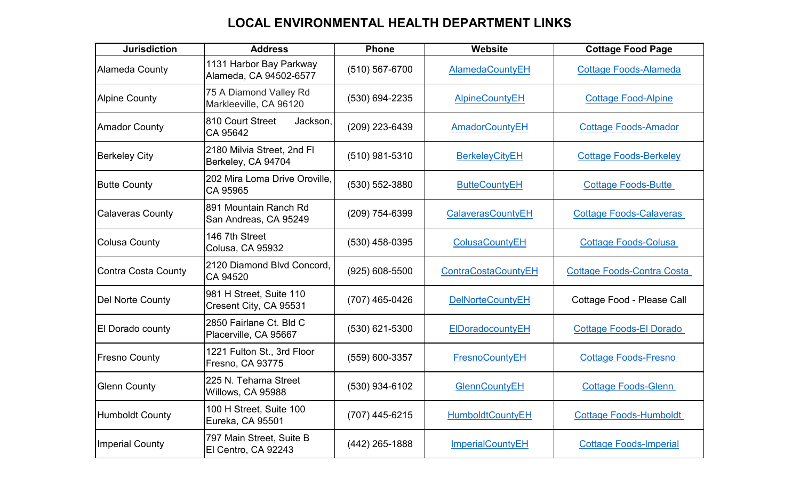| <b>Jurisdiction</b>     | <b>Address</b>                                    | <b>Phone</b>       | Website                    | <b>Cottage Food Page</b>          |
|-------------------------|---------------------------------------------------|--------------------|----------------------------|-----------------------------------|
| Alameda County          | 1131 Harbor Bay Parkway<br>Alameda, CA 94502-6577 | (510) 567-6700     | AlamedaCountyEH            | <b>Cottage Foods-Alameda</b>      |
| <b>Alpine County</b>    | 75 A Diamond Valley Rd<br>Markleeville, CA 96120  | (530) 694-2235     | <b>AlpineCountyEH</b>      | <b>Cottage Food-Alpine</b>        |
| <b>Amador County</b>    | 810 Court Street<br>Jackson,<br>CA 95642          | (209) 223-6439     | <b>AmadorCountyEH</b>      | <b>Cottage Foods-Amador</b>       |
| <b>Berkeley City</b>    | 2180 Milvia Street, 2nd Fl<br>Berkeley, CA 94704  | $(510)$ 981-5310   | <b>BerkeleyCityEH</b>      | <b>Cottage Foods-Berkeley</b>     |
| <b>Butte County</b>     | 202 Mira Loma Drive Oroville,<br>CA 95965         | (530) 552-3880     | <b>ButteCountyEH</b>       | <b>Cottage Foods-Butte</b>        |
| <b>Calaveras County</b> | 891 Mountain Ranch Rd<br>San Andreas, CA 95249    | (209) 754-6399     | CalaverasCountyEH          | <b>Cottage Foods-Calaveras</b>    |
| Colusa County           | 146 7th Street<br><b>Colusa, CA 95932</b>         | $(530)$ 458-0395   | <b>ColusaCountyEH</b>      | <b>Cottage Foods-Colusa</b>       |
| Contra Costa County     | 2120 Diamond Blvd Concord,<br>CA 94520            | $(925) 608 - 5500$ | <b>ContraCostaCountyEH</b> | <b>Cottage Foods-Contra Costa</b> |
| Del Norte County        | 981 H Street, Suite 110<br>Cresent City, CA 95531 | (707) 465-0426     | <b>DelNorteCountyEH</b>    | Cottage Food - Please Call        |
| <b>El Dorado county</b> | 2850 Fairlane Ct. Bld C<br>Placerville, CA 95667  | $(530)$ 621-5300   | ElDoradocountyEH           | <b>Cottage Foods-El Dorado</b>    |
| <b>Fresno County</b>    | 1221 Fulton St., 3rd Floor<br>Fresno, CA 93775    | (559) 600-3357     | <b>FresnoCountyEH</b>      | <b>Cottage Foods-Fresno</b>       |
| <b>Glenn County</b>     | 225 N. Tehama Street<br>Willows, CA 95988         | $(530)$ 934-6102   | <b>GlennCountyEH</b>       | <b>Cottage Foods-Glenn</b>        |
| <b>Humboldt County</b>  | 100 H Street, Suite 100<br>Eureka, CA 95501       | (707) 445-6215     | <b>HumboldtCountyEH</b>    | <b>Cottage Foods-Humboldt</b>     |
| <b>Imperial County</b>  | 797 Main Street, Suite B<br>El Centro, CA 92243   | $(442)$ 265-1888   | <b>ImperialCountyEH</b>    | <b>Cottage Foods-Imperial</b>     |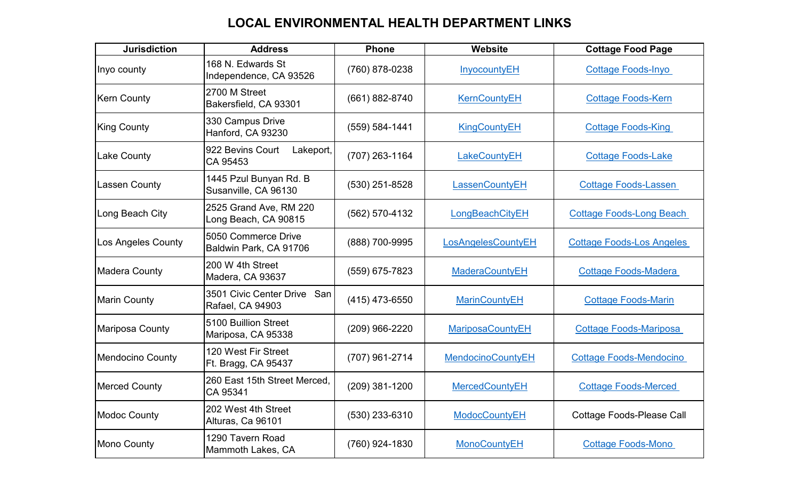| <b>Jurisdiction</b>       | <b>Address</b>                                     | <b>Phone</b>     | Website                  | <b>Cottage Food Page</b>         |
|---------------------------|----------------------------------------------------|------------------|--------------------------|----------------------------------|
| Inyo county               | 168 N. Edwards St<br>Independence, CA 93526        | (760) 878-0238   | InyocountyEH             | <b>Cottage Foods-Inyo</b>        |
| <b>Kern County</b>        | 2700 M Street<br>Bakersfield, CA 93301             | (661) 882-8740   | <b>KernCountyEH</b>      | <b>Cottage Foods-Kern</b>        |
| <b>King County</b>        | 330 Campus Drive<br>Hanford, CA 93230              | (559) 584-1441   | <b>KingCountyEH</b>      | <b>Cottage Foods-King</b>        |
| <b>Lake County</b>        | 922 Bevins Court<br>Lakeport,<br>CA 95453          | (707) 263-1164   | LakeCountyEH             | <b>Cottage Foods-Lake</b>        |
| <b>Lassen County</b>      | 1445 Pzul Bunyan Rd. B<br>Susanville, CA 96130     | (530) 251-8528   | LassenCountyEH           | <b>Cottage Foods-Lassen</b>      |
| Long Beach City           | 2525 Grand Ave, RM 220<br>Long Beach, CA 90815     | (562) 570-4132   | LongBeachCityEH          | <b>Cottage Foods-Long Beach</b>  |
| <b>Los Angeles County</b> | 5050 Commerce Drive<br>Baldwin Park, CA 91706      | (888) 700-9995   | LosAngelesCountyEH       | <b>Cottage Foods-Los Angeles</b> |
| <b>Madera County</b>      | 200 W 4th Street<br>Madera, CA 93637               | (559) 675-7823   | <b>MaderaCountyEH</b>    | <b>Cottage Foods-Madera</b>      |
| <b>Marin County</b>       | 3501 Civic Center Drive<br>San<br>Rafael, CA 94903 | $(415)$ 473-6550 | <b>MarinCountyEH</b>     | <b>Cottage Foods-Marin</b>       |
| Mariposa County           | 5100 Buillion Street<br>Mariposa, CA 95338         | (209) 966-2220   | <b>MariposaCountyEH</b>  | <b>Cottage Foods-Mariposa</b>    |
| <b>Mendocino County</b>   | 120 West Fir Street<br>Ft. Bragg, CA 95437         | (707) 961-2714   | <b>MendocinoCountyEH</b> | <b>Cottage Foods-Mendocino</b>   |
| <b>Merced County</b>      | 260 East 15th Street Merced,<br>CA 95341           | $(209)$ 381-1200 | <b>MercedCountyEH</b>    | <b>Cottage Foods-Merced</b>      |
| <b>Modoc County</b>       | 202 West 4th Street<br>Alturas, Ca 96101           | (530) 233-6310   | <b>ModocCountyEH</b>     | <b>Cottage Foods-Please Call</b> |
| <b>Mono County</b>        | 1290 Tavern Road<br>Mammoth Lakes, CA              | (760) 924-1830   | <b>MonoCountyEH</b>      | <b>Cottage Foods-Mono</b>        |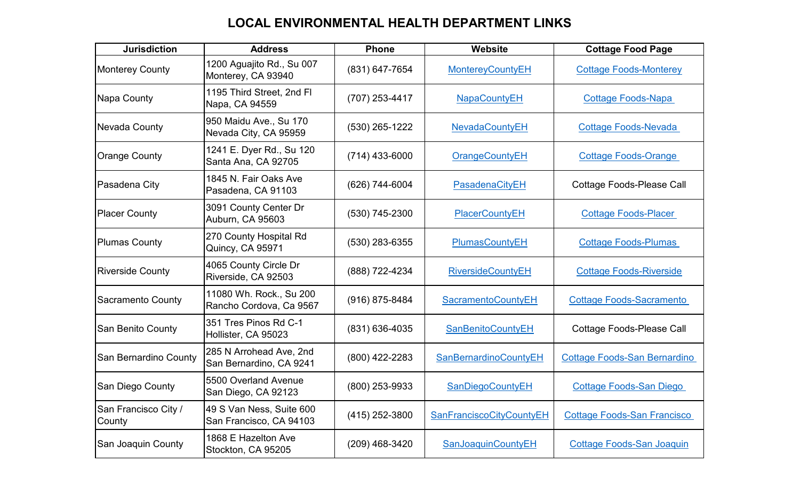| <b>Jurisdiction</b>            | <b>Address</b>                                      | <b>Phone</b>     | Website                      | <b>Cottage Food Page</b>            |
|--------------------------------|-----------------------------------------------------|------------------|------------------------------|-------------------------------------|
| <b>Monterey County</b>         | 1200 Aguajito Rd., Su 007<br>Monterey, CA 93940     | (831) 647-7654   | <b>MontereyCountyEH</b>      | <b>Cottage Foods-Monterey</b>       |
| Napa County                    | 1195 Third Street, 2nd FI<br>Napa, CA 94559         | (707) 253-4417   | <b>NapaCountyEH</b>          | <b>Cottage Foods-Napa</b>           |
| <b>Nevada County</b>           | 950 Maidu Ave., Su 170<br>Nevada City, CA 95959     | $(530)$ 265-1222 | <b>NevadaCountyEH</b>        | Cottage Foods-Nevada                |
| <b>Orange County</b>           | 1241 E. Dyer Rd., Su 120<br>Santa Ana, CA 92705     | $(714)$ 433-6000 | <b>OrangeCountyEH</b>        | <b>Cottage Foods-Orange</b>         |
| Pasadena City                  | 1845 N. Fair Oaks Ave<br>Pasadena, CA 91103         | (626) 744-6004   | PasadenaCityEH               | <b>Cottage Foods-Please Call</b>    |
| <b>Placer County</b>           | 3091 County Center Dr<br>Auburn, CA 95603           | $(530)$ 745-2300 | <b>PlacerCountyEH</b>        | <b>Cottage Foods-Placer</b>         |
| <b>Plumas County</b>           | 270 County Hospital Rd<br>Quincy, CA 95971          | (530) 283-6355   | <b>PlumasCountyEH</b>        | <b>Cottage Foods-Plumas</b>         |
| <b>Riverside County</b>        | 4065 County Circle Dr<br>Riverside, CA 92503        | (888) 722-4234   | <b>RiversideCountyEH</b>     | <b>Cottage Foods-Riverside</b>      |
| <b>Sacramento County</b>       | 11080 Wh. Rock., Su 200<br>Rancho Cordova, Ca 9567  | (916) 875-8484   | <b>SacramentoCountyEH</b>    | <b>Cottage Foods-Sacramento</b>     |
| <b>San Benito County</b>       | 351 Tres Pinos Rd C-1<br>Hollister, CA 95023        | (831) 636-4035   | <b>SanBenitoCountyEH</b>     | <b>Cottage Foods-Please Call</b>    |
| San Bernardino County          | 285 N Arrohead Ave, 2nd<br>San Bernardino, CA 9241  | (800) 422-2283   | <b>SanBernardinoCountyEH</b> | <b>Cottage Foods-San Bernardino</b> |
| San Diego County               | 5500 Overland Avenue<br>San Diego, CA 92123         | (800) 253-9933   | SanDiegoCountyEH             | <b>Cottage Foods-San Diego</b>      |
| San Francisco City /<br>County | 49 S Van Ness, Suite 600<br>San Francisco, CA 94103 | (415) 252-3800   | SanFranciscoCityCountyEH     | <b>Cottage Foods-San Francisco</b>  |
| San Joaquin County             | 1868 E Hazelton Ave<br>Stockton, CA 95205           | (209) 468-3420   | <b>SanJoaquinCountyEH</b>    | <b>Cottage Foods-San Joaquin</b>    |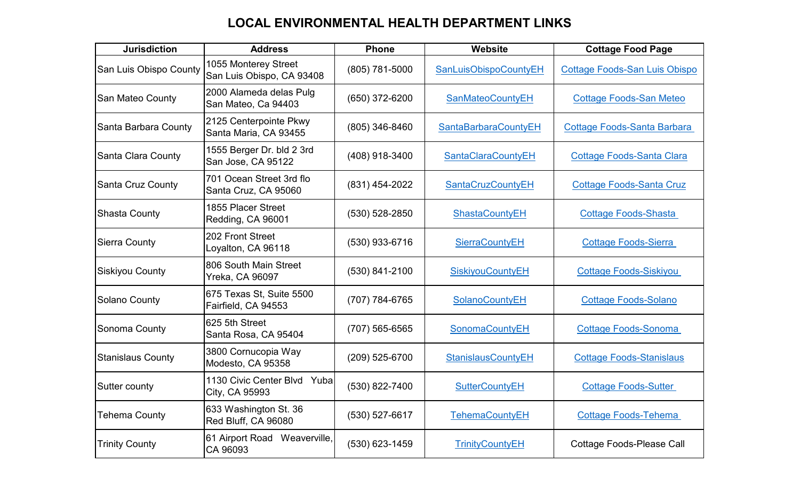| <b>Jurisdiction</b>      | <b>Address</b>                                    | <b>Phone</b>       | Website                     | <b>Cottage Food Page</b>             |
|--------------------------|---------------------------------------------------|--------------------|-----------------------------|--------------------------------------|
| San Luis Obispo County   | 1055 Monterey Street<br>San Luis Obispo, CA 93408 | (805) 781-5000     | SanLuisObispoCountyEH       | <b>Cottage Foods-San Luis Obispo</b> |
| <b>San Mateo County</b>  | 2000 Alameda delas Pulg<br>San Mateo, Ca 94403    | (650) 372-6200     | <b>SanMateoCountyEH</b>     | <b>Cottage Foods-San Meteo</b>       |
| Santa Barbara County     | 2125 Centerpointe Pkwy<br>Santa Maria, CA 93455   | $(805)$ 346-8460   | <b>SantaBarbaraCountyEH</b> | <b>Cottage Foods-Santa Barbara</b>   |
| Santa Clara County       | 1555 Berger Dr. bld 2 3rd<br>San Jose, CA 95122   | (408) 918-3400     | <b>SantaClaraCountyEH</b>   | <b>Cottage Foods-Santa Clara</b>     |
| <b>Santa Cruz County</b> | 701 Ocean Street 3rd flo<br>Santa Cruz, CA 95060  | (831) 454-2022     | <b>SantaCruzCountyEH</b>    | <b>Cottage Foods-Santa Cruz</b>      |
| <b>Shasta County</b>     | 1855 Placer Street<br>Redding, CA 96001           | $(530) 528 - 2850$ | <b>ShastaCountyEH</b>       | <b>Cottage Foods-Shasta</b>          |
| <b>Sierra County</b>     | 202 Front Street<br>Loyalton, CA 96118            | $(530)$ 933-6716   | <b>SierraCountyEH</b>       | <b>Cottage Foods-Sierra</b>          |
| <b>Siskiyou County</b>   | 806 South Main Street<br><b>Yreka, CA 96097</b>   | (530) 841-2100     | <b>SiskiyouCountyEH</b>     | <b>Cottage Foods-Siskiyou</b>        |
| <b>Solano County</b>     | 675 Texas St, Suite 5500<br>Fairfield, CA 94553   | (707) 784-6765     | SolanoCountyEH              | <b>Cottage Foods-Solano</b>          |
| Sonoma County            | 625 5th Street<br>Santa Rosa, CA 95404            | $(707)$ 565-6565   | SonomaCountyEH              | <b>Cottage Foods-Sonoma</b>          |
| <b>Stanislaus County</b> | 3800 Cornucopia Way<br>Modesto, CA 95358          | (209) 525-6700     | <b>StanislausCountyEH</b>   | <b>Cottage Foods-Stanislaus</b>      |
| Sutter county            | 1130 Civic Center Blvd Yuba<br>City, CA 95993     | (530) 822-7400     | <b>SutterCountyEH</b>       | <b>Cottage Foods-Sutter</b>          |
| <b>Tehema County</b>     | 633 Washington St. 36<br>Red Bluff, CA 96080      | (530) 527-6617     | <b>TehemaCountyEH</b>       | <b>Cottage Foods-Tehema</b>          |
| <b>Trinity County</b>    | 61 Airport Road Weaverville,<br>CA 96093          | (530) 623-1459     | <b>TrinityCountyEH</b>      | <b>Cottage Foods-Please Call</b>     |